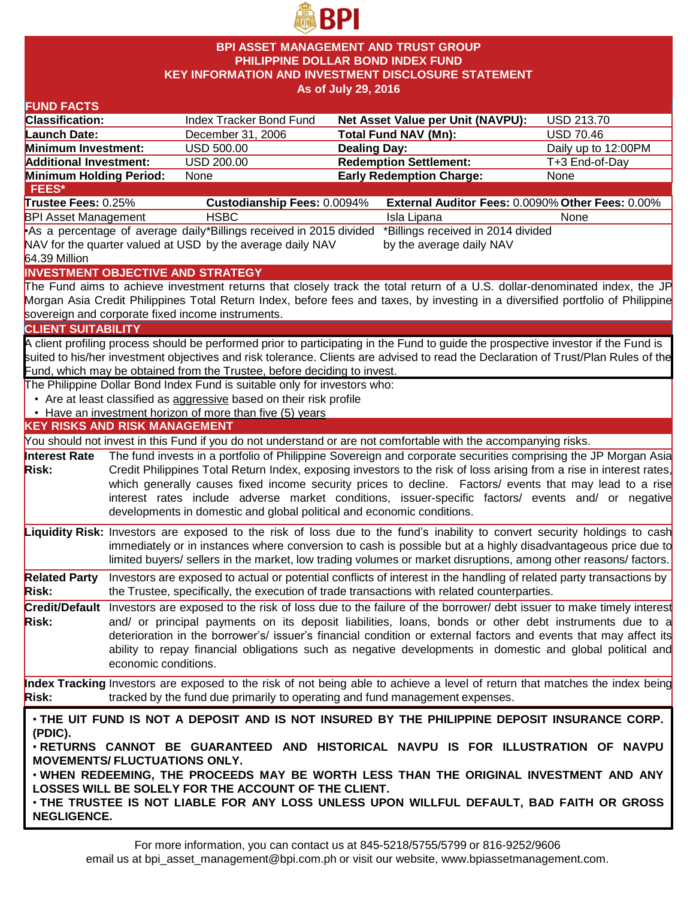

## **BPI ASSET MANAGEMENT AND TRUST GROUP PHILIPPINE DOLLAR BOND INDEX FUND KEY INFORMATION AND INVESTMENT DISCLOSURE STATEMENT As of July 29, 2016**

#### **FUND FACTS Classification:** Index Tracker Bond Fund **Net Asset Value per Unit (NAVPU):** USD 213.70 **Launch Date:** December 31, 2006 **Total Fund NAV (Mn):** USD 70.46 **Minimum Investment:** USD 500.00 **Dealing Day:** Dealing Day: Daily up to 12:00PM **Additional Investment:** USD 200.00 **Redemption Settlement:** T+3 End-of-Day **Minimum Holding Period: None <b>Early Redemption Charge:** None **KEY RISKS AND RISK MANAGEMENT**  You should not invest in this Fund if you do not understand or are not comfortable with the accompanying risks. **Interest Rate Risk:** The fund invests in a portfolio of Philippine Sovereign and corporate securities comprising the JP Morgan Asia Credit Philippines Total Return Index, exposing investors to the risk of loss arising from a rise in interest rates, which generally causes fixed income security prices to decline. Factors/ events that may lead to a rise interest rates include adverse market conditions, issuer-specific factors/ events and/ or negative developments in domestic and global political and economic conditions. **Liquidity Risk:** Investors are exposed to the risk of loss due to the fund's inability to convert security holdings to cash immediately or in instances where conversion to cash is possible but at a highly disadvantageous price due to limited buyers/ sellers in the market, low trading volumes or market disruptions, among other reasons/ factors. **Related Party Risk:** Investors are exposed to actual or potential conflicts of interest in the handling of related party transactions by the Trustee, specifically, the execution of trade transactions with related counterparties. **Credit/Default**  Investors are exposed to the risk of loss due to the failure of the borrower/ debt issuer to make timely interest **Risk:** and/ or principal payments on its deposit liabilities, loans, bonds or other debt instruments due to a deterioration in the borrower's/ issuer's financial condition or external factors and events that may affect its ability to repay financial obligations such as negative developments in domestic and global political and economic conditions. **Index Tracking** Investors are exposed to the risk of not being able to achieve a level of return that matches the index being **Risk:** tracked by the fund due primarily to operating and fund management expenses. **INVESTMENT OBJECTIVE AND STRATEGY** The Fund aims to achieve investment returns that closely track the total return of a U.S. dollar-denominated index, the JP Morgan Asia Credit Philippines Total Return Index, before fees and taxes, by investing in a diversified portfolio of Philippine sovereign and corporate fixed income instruments. **CLIENT SUITABILITY** A client profiling process should be performed prior to participating in the Fund to guide the prospective investor if the Fund is suited to his/her investment objectives and risk tolerance. Clients are advised to read the Declaration of Trust/Plan Rules of the Fund, which may be obtained from the Trustee, before deciding to invest. The Philippine Dollar Bond Index Fund is suitable only for investors who: • Are at least classified as aggressive based on their risk profile • Have an investment horizon of more than five (5) years • **THE UIT FUND IS NOT A DEPOSIT AND IS NOT INSURED BY THE PHILIPPINE DEPOSIT INSURANCE CORP. (PDIC).** • **RETURNS CANNOT BE GUARANTEED AND HISTORICAL NAVPU IS FOR ILLUSTRATION OF NAVPU MOVEMENTS/ FLUCTUATIONS ONLY.** • **WHEN REDEEMING, THE PROCEEDS MAY BE WORTH LESS THAN THE ORIGINAL INVESTMENT AND ANY LOSSES WILL BE SOLELY FOR THE ACCOUNT OF THE CLIENT.** • **THE TRUSTEE IS NOT LIABLE FOR ANY LOSS UNLESS UPON WILLFUL DEFAULT, BAD FAITH OR GROSS NEGLIGENCE. FEES\* Trustee Fees:** 0.25% **Custodianship Fees:** 0.0094% **External Auditor Fees:** 0.0090% **Other Fees:** 0.00% BPI Asset Management THSBC **Isla Lipana** Isla Lipana None •As a percentage of average daily \*Billings received in 2015 divided NAV for the quarter valued at USD by the average daily NAV 64.39 Million \*Billings received in 2014 divided by the average daily NAV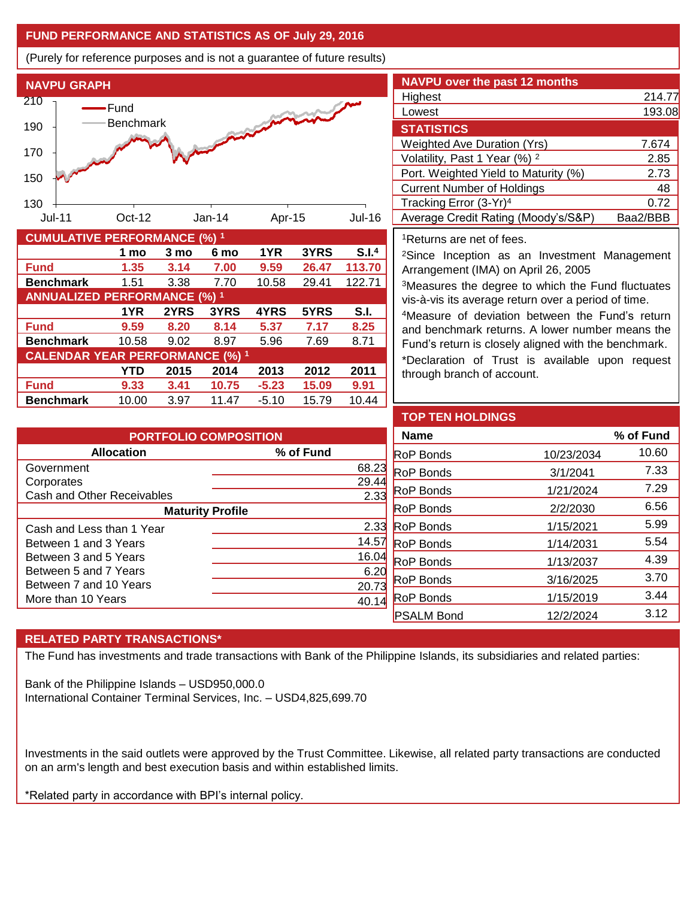# **FUND PERFORMANCE AND STATISTICS AS OF July 29, 2016**

(Purely for reference purposes and is not a guarantee of future results)



**Fund 9.59 8.20 8.14 5.37 7.17 8.25 Benchmark** 10.58 9.02 8.97 5.96 7.69 8.71

**Fund 9.33 3.41 10.75 -5.23 15.09 9.91 Benchmark** 10.00 3.97 11.47 -5.10 15.79 10.44

**CALENDAR YEAR PERFORMANCE (%) <sup>1</sup>**

**1YR 2YRS 3YRS 4YRS 5YRS S.I.**

**YTD 2015 2014 2013 2012 2011**

| <b>NAVPU over the past 12 months</b>     |          |
|------------------------------------------|----------|
| Highest                                  | 214.77   |
| Lowest                                   | 193.08   |
| <b>STATISTICS</b>                        |          |
| <b>Weighted Ave Duration (Yrs)</b>       | 7.674    |
| Volatility, Past 1 Year (%) <sup>2</sup> | 2.85     |
| Port. Weighted Yield to Maturity (%)     | 2.73     |
| <b>Current Number of Holdings</b>        | 48       |
| Tracking Error (3-Yr) <sup>4</sup>       | 0.72     |
| Average Credit Rating (Moody's/S&P)      | Baa2/BBB |

#### <sup>1</sup>Returns are net of fees.

<sup>2</sup>Since Inception as an Investment Management Arrangement (IMA) on April 26, 2005

<sup>3</sup>Measures the degree to which the Fund fluctuates vis-à-vis its average return over a period of time.

<sup>4</sup>Measure of deviation between the Fund's return and benchmark returns. A lower number means the Fund's return is closely aligned with the benchmark.

\*Declaration of Trust is available upon request through branch of account.

| <b>PORTFOLIO COMPOSITION</b> |               |  |  |
|------------------------------|---------------|--|--|
| <b>Allocation</b>            | % of Fund     |  |  |
| Government                   | 68.23         |  |  |
| Corporates                   | 29.4          |  |  |
| Cash and Other Receivables   | 2.33          |  |  |
| <b>Maturity Profile</b>      |               |  |  |
| Cash and Less than 1 Year    | $2.3^{\circ}$ |  |  |
| Between 1 and 3 Years        | 14.5          |  |  |
| Between 3 and 5 Years        | 16.04         |  |  |
| Between 5 and 7 Years        | 6.2           |  |  |
| Between 7 and 10 Years       | 20.7          |  |  |
| More than 10 Years           |               |  |  |

| <b>TOP TEN HOLDINGS</b> |            |           |
|-------------------------|------------|-----------|
| <b>Name</b>             |            | % of Fund |
| <b>RoP Bonds</b>        | 10/23/2034 | 10.60     |
| RoP Bonds               | 3/1/2041   | 7.33      |
| RoP Bonds               | 1/21/2024  | 7.29      |
| <b>RoP Bonds</b>        | 2/2/2030   | 6.56      |
| <b>RoP Bonds</b>        | 1/15/2021  | 5.99      |
| <b>RoP Bonds</b>        | 1/14/2031  | 5.54      |
| RoP Bonds               | 1/13/2037  | 4.39      |
| <b>RoP</b> Bonds        | 3/16/2025  | 3.70      |
| <b>RoP Bonds</b>        | 1/15/2019  | 3.44      |
| <b>PSALM Bond</b>       | 12/2/2024  | 3.12      |

## **RELATED PARTY TRANSACTIONS\***

The Fund has investments and trade transactions with Bank of the Philippine Islands, its subsidiaries and related parties:

Bank of the Philippine Islands – USD950,000.0 International Container Terminal Services, Inc. – USD4,825,699.70

Investments in the said outlets were approved by the Trust Committee. Likewise, all related party transactions are conducted on an arm's length and best execution basis and within established limits.

\*Related party in accordance with BPI's internal policy.